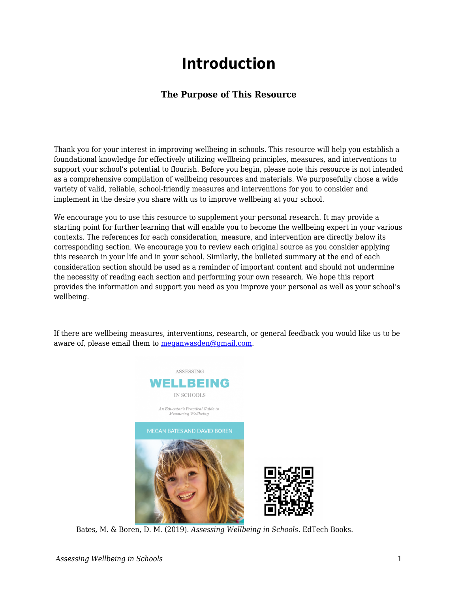## **Introduction**

## **The Purpose of This Resource**

Thank you for your interest in improving wellbeing in schools. This resource will help you establish a foundational knowledge for effectively utilizing wellbeing principles, measures, and interventions to support your school's potential to flourish. Before you begin, please note this resource is not intended as a comprehensive compilation of wellbeing resources and materials. We purposefully chose a wide variety of valid, reliable, school-friendly measures and interventions for you to consider and implement in the desire you share with us to improve wellbeing at your school.

We encourage you to use this resource to supplement your personal research. It may provide a starting point for further learning that will enable you to become the wellbeing expert in your various contexts. The references for each consideration, measure, and intervention are directly below its corresponding section. We encourage you to review each original source as you consider applying this research in your life and in your school. Similarly, the bulleted summary at the end of each consideration section should be used as a reminder of important content and should not undermine the necessity of reading each section and performing your own research. We hope this report provides the information and support you need as you improve your personal as well as your school's wellbeing.

If there are wellbeing measures, interventions, research, or general feedback you would like us to be aware of, please email them to [meganwasden@gmail.com.](mailto:meganwasden@gmail.com)



Bates, M. & Boren, D. M. (2019). *Assessing Wellbeing in Schools*. EdTech Books.